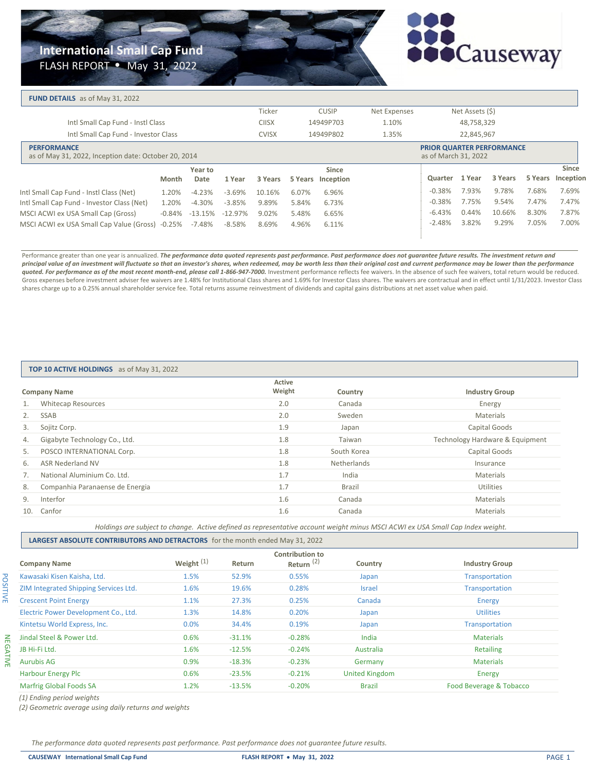# **International Small Cap Fund**

FLASH REPORT • May 31, 2022



#### **FUND DETAILS** as of May 31, 2022

|                                                                            |                                            |        |                    |           | Ticker       |       | <b>CUSIP</b>      | Net Expenses |                                                          | Net Assets (\$) |         |         |              |
|----------------------------------------------------------------------------|--------------------------------------------|--------|--------------------|-----------|--------------|-------|-------------------|--------------|----------------------------------------------------------|-----------------|---------|---------|--------------|
|                                                                            | Intl Small Cap Fund - Instl Class          |        |                    |           | <b>CIISX</b> |       | 14949P703         | 1.10%        |                                                          | 48,758,329      |         |         |              |
|                                                                            | Intl Small Cap Fund - Investor Class       |        |                    |           | <b>CVISX</b> |       | 14949P802         | 1.35%        |                                                          | 22,845,967      |         |         |              |
| <b>PERFORMANCE</b><br>as of May 31, 2022, Inception date: October 20, 2014 |                                            |        |                    |           |              |       |                   |              | <b>PRIOR QUARTER PERFORMANCE</b><br>as of March 31, 2022 |                 |         |         |              |
|                                                                            |                                            |        | Year to            |           |              |       | Since             |              |                                                          |                 |         |         | <b>Since</b> |
|                                                                            |                                            | Month  | Date               | 1 Year    | 3 Years      |       | 5 Years Inception |              | Quarter                                                  | 1 Year          | 3 Years | 5 Years | Inception    |
|                                                                            | Intl Small Cap Fund - Instl Class (Net)    | 1.20%  | $-4.23%$           | $-3.69%$  | 10.16%       | 6.07% | 6.96%             |              | $-0.38%$                                                 | 7.93%           | 9.78%   | 7.68%   | 7.69%        |
|                                                                            | Intl Small Cap Fund - Investor Class (Net) | 1.20%  | $-4.30%$           | $-3.85%$  | 9.89%        | 5.84% | 6.73%             |              | $-0.38%$                                                 | 7.75%           | 9.54%   | 7.47%   | 7.47%        |
|                                                                            | MSCI ACWI ex USA Small Cap (Gross)         |        | $-0.84\% -13.15\%$ | $-12.97%$ | 9.02%        | 5.48% | 6.65%             |              | $-6.43%$                                                 | 0.44%           | 10.66%  | 8.30%   | 7.87%        |
|                                                                            | MSCI ACWI ex USA Small Cap Value (Gross)   | -0.25% | -7.48%             | -8.58%    | 8.69%        | 4.96% | 6.11%             |              | $-2.48%$                                                 | 3.82%           | 9.29%   | 7.05%   | 7.00%        |
|                                                                            |                                            |        |                    |           |              |       |                   |              |                                                          |                 |         |         |              |

Performance greater than one year is annualized. The performance data quoted represents past performance. Past performance does not guarantee future results. The investment return and *principal value of an investment will fluctuate so that an investor's shares, when redeemed, may be worth less than their original cost and current performance may be lower than the performance* quoted. For performance as of the most recent month-end, please call 1-866-947-7000. Investment performance reflects fee waivers. In the absence of such fee waivers, total return would be reduced. Gross expenses before investment adviser fee waivers are 1.48% for Institutional Class shares and 1.69% for Investor Class shares. The waivers are contractual and in effect until 1/31/2023. Investor Class shares charge up to a 0.25% annual shareholder service fee. Total returns assume reinvestment of dividends and capital gains distributions at net asset value when paid.

#### **TOP 10 ACTIVE HOLDINGS** as of May 31, 2022

| <b>Company Name</b> |                                 | Active<br>Weight | Country            | <b>Industry Group</b>           |
|---------------------|---------------------------------|------------------|--------------------|---------------------------------|
| 1.                  | <b>Whitecap Resources</b>       | 2.0              | Canada             | Energy                          |
| 2.                  | SSAB                            | 2.0              | Sweden             | Materials                       |
| 3.                  | Sojitz Corp.                    | 1.9              | Japan              | Capital Goods                   |
| 4.                  | Gigabyte Technology Co., Ltd.   | 1.8              | Taiwan             | Technology Hardware & Equipment |
| 5.                  | POSCO INTERNATIONAL Corp.       | 1.8              | South Korea        | Capital Goods                   |
| 6.                  | ASR Nederland NV                | 1.8              | <b>Netherlands</b> | Insurance                       |
| 7 <sub>1</sub>      | National Aluminium Co. Ltd.     | 1.7              | India              | Materials                       |
| 8.                  | Companhia Paranaense de Energia | 1.7              | Brazil             | Utilities                       |
| 9.                  | Interfor                        | 1.6              | Canada             | Materials                       |
| 10.                 | Canfor                          | 1.6              | Canada             | Materials                       |
|                     |                                 |                  |                    |                                 |

*Holdings are subject to change. Active defined as representative account weight minus MSCI ACWI ex USA Small Cap Index weight.*

**LARGEST ABSOLUTE CONTRIBUTORS AND DETRACTORS** for the month ended May 31, 2022

| <b>Contribution to</b>                |              |          |              |                       |                         |  |  |  |
|---------------------------------------|--------------|----------|--------------|-----------------------|-------------------------|--|--|--|
| <b>Company Name</b>                   | Weight $(1)$ | Return   | Return $(2)$ | Country               | <b>Industry Group</b>   |  |  |  |
| Kawasaki Kisen Kaisha, Ltd.           | 1.5%         | 52.9%    | 0.55%        | Japan                 | <b>Transportation</b>   |  |  |  |
| ZIM Integrated Shipping Services Ltd. | 1.6%         | 19.6%    | 0.28%        | <b>Israel</b>         | <b>Transportation</b>   |  |  |  |
| <b>Crescent Point Energy</b>          | 1.1%         | 27.3%    | 0.25%        | Canada                | Energy                  |  |  |  |
| Electric Power Development Co., Ltd.  | 1.3%         | 14.8%    | 0.20%        | Japan                 | <b>Utilities</b>        |  |  |  |
| Kintetsu World Express, Inc.          | 0.0%         | 34.4%    | 0.19%        | Japan                 | <b>Transportation</b>   |  |  |  |
| Jindal Steel & Power Ltd.             | 0.6%         | $-31.1%$ | $-0.28%$     | India                 | <b>Materials</b>        |  |  |  |
| JB Hi-Fi Ltd.                         | 1.6%         | $-12.5%$ | $-0.24%$     | Australia             | Retailing               |  |  |  |
| <b>Aurubis AG</b>                     | 0.9%         | $-18.3%$ | $-0.23%$     | Germany               | <b>Materials</b>        |  |  |  |
| <b>Harbour Energy Plc</b>             | 0.6%         | $-23.5%$ | $-0.21%$     | <b>United Kingdom</b> | Energy                  |  |  |  |
| <b>Marfrig Global Foods SA</b>        | 1.2%         | $-13.5%$ | $-0.20%$     | <b>Brazil</b>         | Food Beverage & Tobacco |  |  |  |
|                                       |              |          |              |                       |                         |  |  |  |

*(1) Ending period weights*

POSITIVE

**POSITIVE** 

NEGATIVE

**NEGATIVE** 

*(2) Geometric average using daily returns and weights*

*The performance data quoted represents past performance. Past performance does not guarantee future results.*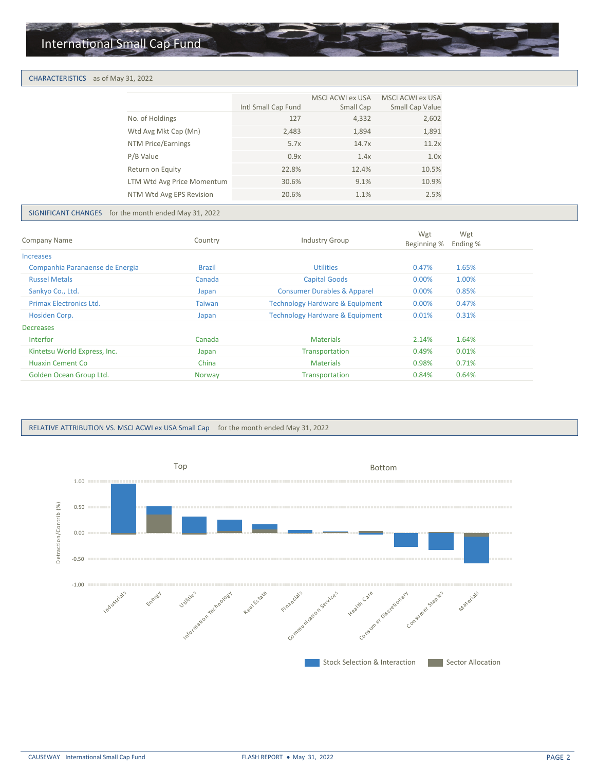# International Small Cap Fund

#### CHARACTERISTICS as of May 31, 2022

|                            | Intl Small Cap Fund | MSCI ACWI ex USA<br>Small Cap | MSCI ACWI ex USA<br>Small Cap Value |
|----------------------------|---------------------|-------------------------------|-------------------------------------|
| No. of Holdings            | 127                 | 4,332                         | 2,602                               |
| Wtd Avg Mkt Cap (Mn)       | 2,483               | 1,894                         | 1,891                               |
| NTM Price/Earnings         | 5.7x                | 14.7x                         | 11.2x                               |
| P/B Value                  | 0.9x                | 1.4x                          | 1.0x                                |
| Return on Equity           | 22.8%               | 12.4%                         | 10.5%                               |
| LTM Wtd Avg Price Momentum | 30.6%               | 9.1%                          | 10.9%                               |
| NTM Wtd Avg EPS Revision   | 20.6%               | 1.1%                          | 2.5%                                |
|                            |                     |                               |                                     |

### SIGNIFICANT CHANGES for the month ended May 31, 2022

| <b>Company Name</b>             | Country       | <b>Industry Group</b>                      | Wgt<br>Beginning % | Wgt<br>Ending % |  |
|---------------------------------|---------------|--------------------------------------------|--------------------|-----------------|--|
| <b>Increases</b>                |               |                                            |                    |                 |  |
| Companhia Paranaense de Energia | <b>Brazil</b> | <b>Utilities</b>                           | 0.47%              | 1.65%           |  |
| <b>Russel Metals</b>            | Canada        | <b>Capital Goods</b>                       | $0.00\%$           | 1.00%           |  |
| Sankyo Co., Ltd.                | Japan         | <b>Consumer Durables &amp; Apparel</b>     | 0.00%              | 0.85%           |  |
| <b>Primax Electronics Ltd.</b>  | <b>Taiwan</b> | <b>Technology Hardware &amp; Equipment</b> | $0.00\%$           | 0.47%           |  |
| Hosiden Corp.                   | Japan         | <b>Technology Hardware &amp; Equipment</b> | 0.01%              | 0.31%           |  |
| <b>Decreases</b>                |               |                                            |                    |                 |  |
| Interfor                        | Canada        | <b>Materials</b>                           | 2.14%              | 1.64%           |  |
| Kintetsu World Express, Inc.    | Japan         | Transportation                             | 0.49%              | 0.01%           |  |
| Huaxin Cement Co                | China         | <b>Materials</b>                           | 0.98%              | 0.71%           |  |
| Golden Ocean Group Ltd.         | <b>Norway</b> | Transportation                             | 0.84%              | 0.64%           |  |
|                                 |               |                                            |                    |                 |  |

#### RELATIVE ATTRIBUTION VS. MSCI ACWI ex USA Small Cap for the month ended May 31, 2022

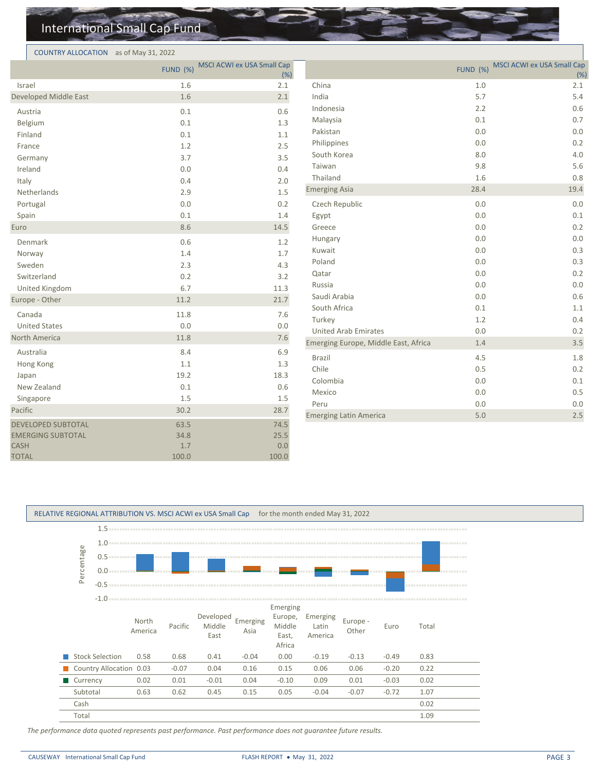# International Small Cap Fund

#### COUNTRY ALLOCATION as of May 31, 2022

| $\frac{1}{2}$                           |                 |                                    |                                      |                 |                                    |
|-----------------------------------------|-----------------|------------------------------------|--------------------------------------|-----------------|------------------------------------|
|                                         | <b>FUND (%)</b> | MSCI ACWI ex USA Small Cap<br>(% ) |                                      | <b>FUND (%)</b> | MSCI ACWI ex USA Small Cap<br>(% ) |
| Israel                                  | 1.6             | 2.1                                | China                                | 1.0             | 2.1                                |
| Developed Middle East                   | 1.6             | 2.1                                | India                                | 5.7             | 5.4                                |
| Austria                                 | 0.1             | 0.6                                | Indonesia                            | 2.2             | 0.6                                |
| Belgium                                 | 0.1             | 1.3                                | Malaysia                             | 0.1             | 0.7                                |
| Finland                                 | 0.1             | 1.1                                | Pakistan                             | 0.0             | $0.0\,$                            |
| France                                  | $1.2\,$         | 2.5                                | Philippines                          | 0.0             | 0.2                                |
| Germany                                 | 3.7             | 3.5                                | South Korea                          | 8.0             | 4.0                                |
| Ireland                                 | 0.0             | 0.4                                | Taiwan                               | 9.8             | 5.6                                |
| Italy                                   | 0.4             | 2.0                                | Thailand                             | 1.6             | 0.8                                |
| Netherlands                             | 2.9             | 1.5                                | <b>Emerging Asia</b>                 | 28.4            | 19.4                               |
| Portugal                                | 0.0             | 0.2                                | Czech Republic                       | 0.0             | 0.0                                |
| Spain                                   | 0.1             | 1.4                                | Egypt                                | 0.0             | 0.1                                |
| Euro                                    | 8.6             | 14.5                               | Greece                               | $0.0\,$         | 0.2                                |
| Denmark                                 | 0.6             | 1.2                                | Hungary                              | 0.0             | 0.0                                |
| Norway                                  | 1.4             | 1.7                                | Kuwait                               | $0.0\,$         | 0.3                                |
| Sweden                                  | 2.3             | 4.3                                | Poland                               | 0.0             | 0.3                                |
| Switzerland                             | 0.2             | 3.2                                | Qatar                                | 0.0             | 0.2                                |
| United Kingdom                          | 6.7             | 11.3                               | Russia                               | 0.0             | $0.0\,$                            |
| Europe - Other                          | 11.2            | 21.7                               | Saudi Arabia                         | 0.0             | 0.6                                |
| Canada                                  | 11.8            | 7.6                                | South Africa                         | 0.1             | 1.1                                |
| <b>United States</b>                    | 0.0             | 0.0                                | Turkey                               | 1.2             | 0.4                                |
| North America                           | 11.8            | 7.6                                | <b>United Arab Emirates</b>          | 0.0             | 0.2                                |
|                                         |                 |                                    | Emerging Europe, Middle East, Africa | 1.4             | 3.5                                |
| Australia                               | 8.4<br>1.1      | 6.9<br>1.3                         | Brazil                               | 4.5             | 1.8                                |
| Hong Kong                               | 19.2            | 18.3                               | Chile                                | 0.5             | 0.2                                |
| Japan<br>New Zealand                    | 0.1             | 0.6                                | Colombia                             | 0.0             | $0.1\,$                            |
| Singapore                               | 1.5             | 1.5                                | Mexico                               | 0.0             | 0.5                                |
| Pacific                                 | 30.2            | 28.7                               | Peru                                 | $0.0\,$         | $0.0\,$                            |
|                                         |                 |                                    | <b>Emerging Latin America</b>        | 5.0             | $2.5$                              |
| <b>DEVELOPED SUBTOTAL</b>               | 63.5            | 74.5                               |                                      |                 |                                    |
| <b>EMERGING SUBTOTAL</b><br><b>CASH</b> | 34.8<br>1.7     | 25.5<br>0.0                        |                                      |                 |                                    |
| <b>TOTAL</b>                            | 100.0           | 100.0                              |                                      |                 |                                    |
|                                         |                 |                                    |                                      |                 |                                    |

#### RELATIVE REGIONAL ATTRIBUTION VS. MSCI ACWI ex USA Small Cap for the month ended May 31, 2022



*The performance data quoted represents past performance. Past performance does not guarantee future results.*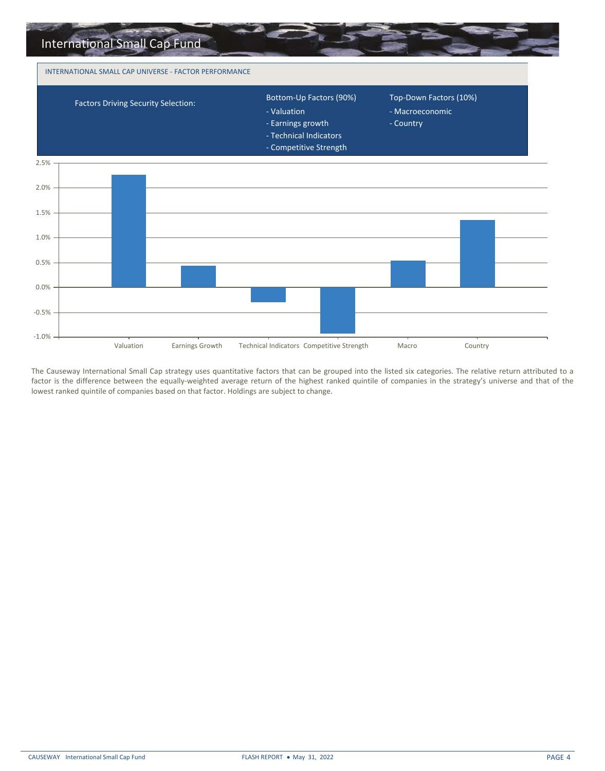

The Causeway International Small Cap strategy uses quantitative factors that can be grouped into the listed six categories. The relative return attributed to a factor is the difference between the equally-weighted average return of the highest ranked quintile of companies in the strategy's universe and that of the lowest ranked quintile of companies based on that factor. Holdings are subject to change.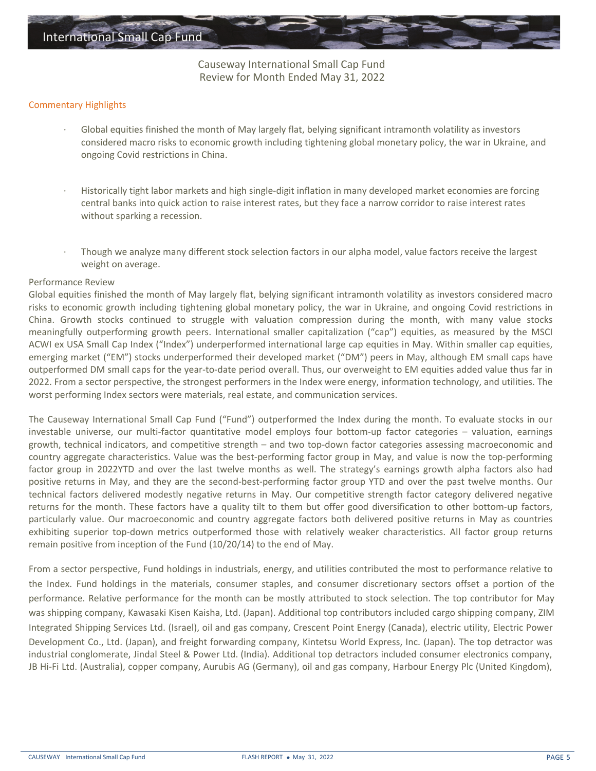Causeway International Small Cap Fund Review for Month Ended May 31, 2022

# Commentary Highlights

- Global equities finished the month of May largely flat, belying significant intramonth volatility as investors considered macro risks to economic growth including tightening global monetary policy, the war in Ukraine, and ongoing Covid restrictions in China.
- · Historically tight labor markets and high single-digit inflation in many developed market economies are forcing central banks into quick action to raise interest rates, but they face a narrow corridor to raise interest rates without sparking a recession.
- · Though we analyze many different stock selection factors in our alpha model, value factors receive the largest weight on average.

# Performance Review

Global equities finished the month of May largely flat, belying significant intramonth volatility as investors considered macro risks to economic growth including tightening global monetary policy, the war in Ukraine, and ongoing Covid restrictions in China. Growth stocks continued to struggle with valuation compression during the month, with many value stocks meaningfully outperforming growth peers. International smaller capitalization ("cap") equities, as measured by the MSCI ACWI ex USA Small Cap Index ("Index") underperformed international large cap equities in May. Within smaller cap equities, emerging market ("EM") stocks underperformed their developed market ("DM") peers in May, although EM small caps have outperformed DM small caps for the year-to-date period overall. Thus, our overweight to EM equities added value thus far in 2022. From a sector perspective, the strongest performers in the Index were energy, information technology, and utilities. The worst performing Index sectors were materials, real estate, and communication services.

The Causeway International Small Cap Fund ("Fund") outperformed the Index during the month. To evaluate stocks in our investable universe, our multi-factor quantitative model employs four bottom-up factor categories – valuation, earnings growth, technical indicators, and competitive strength – and two top-down factor categories assessing macroeconomic and country aggregate characteristics. Value was the best-performing factor group in May, and value is now the top-performing factor group in 2022YTD and over the last twelve months as well. The strategy's earnings growth alpha factors also had positive returns in May, and they are the second-best-performing factor group YTD and over the past twelve months. Our technical factors delivered modestly negative returns in May. Our competitive strength factor category delivered negative returns for the month. These factors have a quality tilt to them but offer good diversification to other bottom-up factors, particularly value. Our macroeconomic and country aggregate factors both delivered positive returns in May as countries exhibiting superior top-down metrics outperformed those with relatively weaker characteristics. All factor group returns remain positive from inception of the Fund (10/20/14) to the end of May.

From a sector perspective, Fund holdings in industrials, energy, and utilities contributed the most to performance relative to the Index. Fund holdings in the materials, consumer staples, and consumer discretionary sectors offset a portion of the performance. Relative performance for the month can be mostly attributed to stock selection. The top contributor for May was shipping company, Kawasaki Kisen Kaisha, Ltd. (Japan). Additional top contributors included cargo shipping company, ZIM Integrated Shipping Services Ltd. (Israel), oil and gas company, Crescent Point Energy (Canada), electric utility, Electric Power Development Co., Ltd. (Japan), and freight forwarding company, Kintetsu World Express, Inc. (Japan). The top detractor was JB Hi-Fi Ltd. (Australia), copper company, Aurubis AG (Germany), oil and gas company, Harbour Energy Plc (United Kingdom), industrial conglomerate, Jindal Steel & Power Ltd. (India). Additional top detractors included consumer electronics company,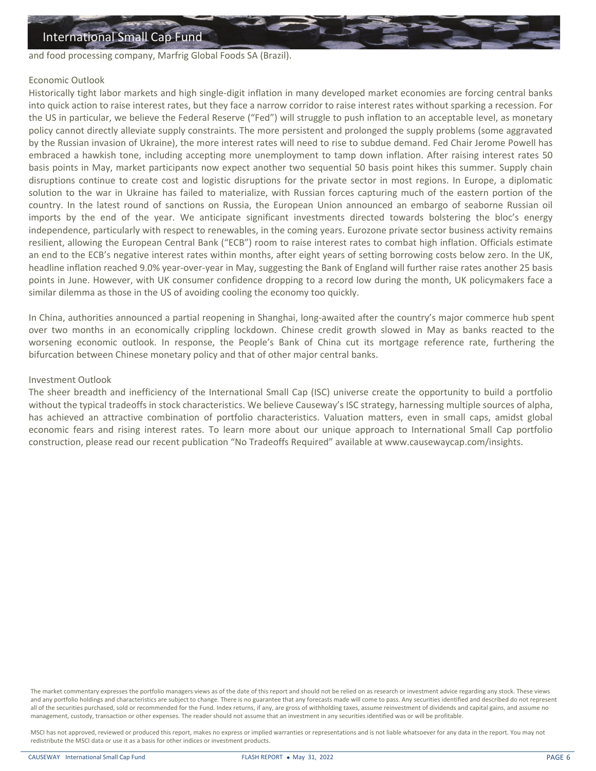and food processing company, Marfrig Global Foods SA (Brazil).

# Economic Outlook

Historically tight labor markets and high single-digit inflation in many developed market economies are forcing central banks into quick action to raise interest rates, but they face a narrow corridor to raise interest rates without sparking a recession. For the US in particular, we believe the Federal Reserve ("Fed") will struggle to push inflation to an acceptable level, as monetary policy cannot directly alleviate supply constraints. The more persistent and prolonged the supply problems (some aggravated by the Russian invasion of Ukraine), the more interest rates will need to rise to subdue demand. Fed Chair Jerome Powell has embraced a hawkish tone, including accepting more unemployment to tamp down inflation. After raising interest rates 50 basis points in May, market participants now expect another two sequential 50 basis point hikes this summer. Supply chain disruptions continue to create cost and logistic disruptions for the private sector in most regions. In Europe, a diplomatic solution to the war in Ukraine has failed to materialize, with Russian forces capturing much of the eastern portion of the country. In the latest round of sanctions on Russia, the European Union announced an embargo of seaborne Russian oil imports by the end of the year. We anticipate significant investments directed towards bolstering the bloc's energy independence, particularly with respect to renewables, in the coming years. Eurozone private sector business activity remains resilient, allowing the European Central Bank ("ECB") room to raise interest rates to combat high inflation. Officials estimate an end to the ECB's negative interest rates within months, after eight years of setting borrowing costs below zero. In the UK, headline inflation reached 9.0% year-over-year in May, suggesting the Bank of England will further raise rates another 25 basis points in June. However, with UK consumer confidence dropping to a record low during the month, UK policymakers face a similar dilemma as those in the US of avoiding cooling the economy too quickly.

In China, authorities announced a partial reopening in Shanghai, long-awaited after the country's major commerce hub spent over two months in an economically crippling lockdown. Chinese credit growth slowed in May as banks reacted to the worsening economic outlook. In response, the People's Bank of China cut its mortgage reference rate, furthering the bifurcation between Chinese monetary policy and that of other major central banks.

# Investment Outlook

The sheer breadth and inefficiency of the International Small Cap (ISC) universe create the opportunity to build a portfolio without the typical tradeoffs in stock characteristics. We believe Causeway's ISC strategy, harnessing multiple sources of alpha, has achieved an attractive combination of portfolio characteristics. Valuation matters, even in small caps, amidst global economic fears and rising interest rates. To learn more about our unique approach to International Small Cap portfolio construction, please read our recent publication "No Tradeoffs Required" available at www.causewaycap.com/insights.

The market commentary expresses the portfolio managers views as of the date of this report and should not be relied on as research or investment advice regarding any stock. These views and any portfolio holdings and characteristics are subject to change. There is no guarantee that any forecasts made will come to pass. Any securities identified and described do not represent all of the securities purchased, sold or recommended for the Fund. Index returns, if any, are gross of withholding taxes, assume reinvestment of dividends and capital gains, and assume no management, custody, transaction or other expenses. The reader should not assume that an investment in any securities identified was or will be profitable.

MSCI has not approved, reviewed or produced this report, makes no express or implied warranties or representations and is not liable whatsoever for any data in the report. You may not redistribute the MSCI data or use it as a basis for other indices or investment products.